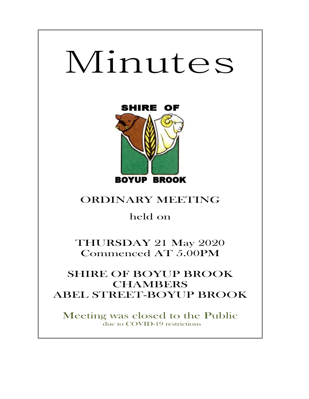# Minutes



# ORDINARY MEETING

held on

THURSDAY 21 May 2020 Commenced AT 5.00PM

## SHIRE OF BOYUP BROOK **CHAMBERS** ABEL STREET-BOYUP BROOK

Meeting was closed to the Public due to COVID-19 restrictions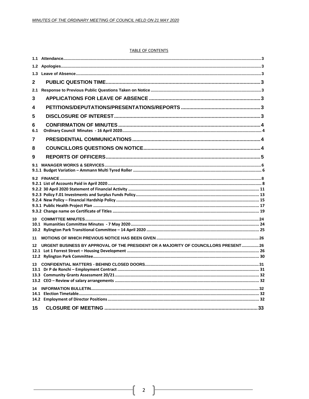#### **TABLE OF CONTENTS**

| 1.3             |                                                                                      |  |
|-----------------|--------------------------------------------------------------------------------------|--|
| $\mathbf{2}$    |                                                                                      |  |
| 2.1             |                                                                                      |  |
| 3               |                                                                                      |  |
| 4               |                                                                                      |  |
| 5               |                                                                                      |  |
| 6<br>6.1        |                                                                                      |  |
| 7               |                                                                                      |  |
| 8               |                                                                                      |  |
| 9               |                                                                                      |  |
| 9.1             |                                                                                      |  |
|                 |                                                                                      |  |
|                 |                                                                                      |  |
|                 |                                                                                      |  |
|                 |                                                                                      |  |
|                 |                                                                                      |  |
|                 |                                                                                      |  |
|                 |                                                                                      |  |
| 11              |                                                                                      |  |
| 12 <sup>1</sup> | URGENT BUSINESS BY APPROVAL OF THE PRESIDENT OR A MAJORITY OF COUNCILLORS PRESENT 26 |  |
|                 |                                                                                      |  |
|                 |                                                                                      |  |
|                 |                                                                                      |  |
|                 |                                                                                      |  |
|                 |                                                                                      |  |
|                 |                                                                                      |  |
| 15              |                                                                                      |  |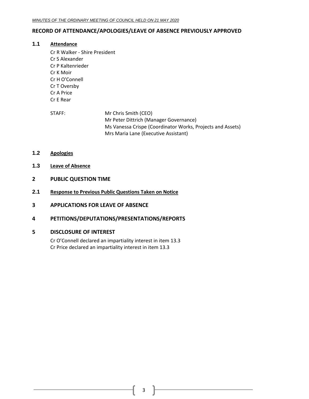## <span id="page-2-0"></span>**RECORD OF ATTENDANCE/APOLOGIES/LEAVE OF ABSENCE PREVIOUSLY APPROVED**

#### **1.1 Attendance**

- Cr R Walker Shire President Cr S Alexander Cr P Kaltenrieder Cr K Moir Cr H O'Connell Cr T Oversby Cr A Price Cr E Rear
- STAFF: Mr Chris Smith (CEO) Mr Peter Dittrich (Manager Governance) Ms Vanessa Crispe (Coordinator Works, Projects and Assets) Mrs Maria Lane (Executive Assistant)
- <span id="page-2-1"></span>**1.2 Apologies**
- <span id="page-2-2"></span>**1.3 Leave of Absence**
- <span id="page-2-3"></span>**2 PUBLIC QUESTION TIME**
- <span id="page-2-4"></span>**2.1 Response to Previous Public Questions Taken on Notice**
- <span id="page-2-5"></span>**3 APPLICATIONS FOR LEAVE OF ABSENCE**
- <span id="page-2-6"></span>**4 PETITIONS/DEPUTATIONS/PRESENTATIONS/REPORTS**

#### <span id="page-2-7"></span>**5 DISCLOSURE OF INTEREST**

Cr O'Connell declared an impartiality interest in item 13.3 Cr Price declared an impartiality interest in item 13.3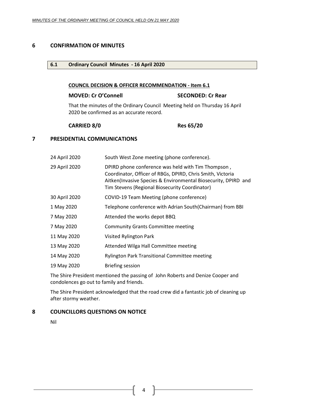#### <span id="page-3-1"></span><span id="page-3-0"></span>**6 CONFIRMATION OF MINUTES**

#### **6.1 Ordinary Council Minutes - 16 April 2020**

#### **COUNCIL DECISION & OFFICER RECOMMENDATION - Item 6.1**

#### **MOVED: Cr O'Connell SECONDED: Cr Rear**

That the minutes of the Ordinary Council Meeting held on Thursday 16 April 2020 be confirmed as an accurate record.

#### **CARRIED 8/0 Res 65/20**

## <span id="page-3-2"></span>**7 PRESIDENTIAL COMMUNICATIONS**

| 24 April 2020 | South West Zone meeting (phone conference).                                                                                                                                                                                          |
|---------------|--------------------------------------------------------------------------------------------------------------------------------------------------------------------------------------------------------------------------------------|
| 29 April 2020 | DPIRD phone conference was held with Tim Thompson,<br>Coordinator, Officer of RBGs, DPIRD, Chris Smith, Victoria<br>Aitken(Invasive Species & Environmental Biosecurity, DPIRD and<br>Tim Stevens (Regional Biosecurity Coordinator) |
| 30 April 2020 | COVID-19 Team Meeting (phone conference)                                                                                                                                                                                             |
| 1 May 2020    | Telephone conference with Adrian South(Chairman) from BBI                                                                                                                                                                            |
| 7 May 2020    | Attended the works depot BBQ                                                                                                                                                                                                         |
| 7 May 2020    | <b>Community Grants Committee meeting</b>                                                                                                                                                                                            |
| 11 May 2020   | Visited Rylington Park                                                                                                                                                                                                               |
| 13 May 2020   | Attended Wilga Hall Committee meeting                                                                                                                                                                                                |
| 14 May 2020   | <b>Rylington Park Transitional Committee meeting</b>                                                                                                                                                                                 |
| 19 May 2020   | <b>Briefing session</b>                                                                                                                                                                                                              |

The Shire President mentioned the passing of John Roberts and Denize Cooper and condolences go out to family and friends.

The Shire President acknowledged that the road crew did a fantastic job of cleaning up after stormy weather.

#### <span id="page-3-3"></span>**8 COUNCILLORS QUESTIONS ON NOTICE**

Nil

4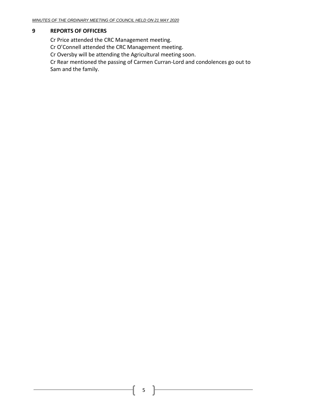## <span id="page-4-0"></span>**9 REPORTS OF OFFICERS**

Cr Price attended the CRC Management meeting.

Cr O'Connell attended the CRC Management meeting.

Cr Oversby will be attending the Agricultural meeting soon.

Cr Rear mentioned the passing of Carmen Curran-Lord and condolences go out to Sam and the family.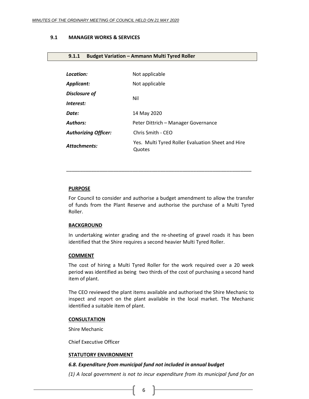#### <span id="page-5-0"></span>**9.1 MANAGER WORKS & SERVICES**

#### <span id="page-5-1"></span>**9.1.1 Budget Variation – Ammann Multi Tyred Roller**

| Location:                   | Not applicable                                              |  |
|-----------------------------|-------------------------------------------------------------|--|
| Applicant:                  | Not applicable                                              |  |
| <b>Disclosure of</b>        | Nil                                                         |  |
| Interest:                   |                                                             |  |
| Date:                       | 14 May 2020                                                 |  |
| Authors:                    | Peter Dittrich - Manager Governance                         |  |
| <b>Authorizing Officer:</b> | Chris Smith - CEO                                           |  |
| Attachments:                | Yes. Multi Tyred Roller Evaluation Sheet and Hire<br>Quotes |  |

#### **PURPOSE**

For Council to consider and authorise a budget amendment to allow the transfer of funds from the Plant Reserve and authorise the purchase of a Multi Tyred Roller.

\_\_\_\_\_\_\_\_\_\_\_\_\_\_\_\_\_\_\_\_\_\_\_\_\_\_\_\_\_\_\_\_\_\_\_\_\_\_\_\_\_\_\_\_\_\_\_\_\_\_\_\_\_\_\_\_\_\_\_\_\_\_\_\_\_\_\_

#### **BACKGROUND**

In undertaking winter grading and the re-sheeting of gravel roads it has been identified that the Shire requires a second heavier Multi Tyred Roller.

#### **COMMENT**

The cost of hiring a Multi Tyred Roller for the work required over a 20 week period was identified as being two thirds of the cost of purchasing a second hand item of plant.

The CEO reviewed the plant items available and authorised the Shire Mechanic to inspect and report on the plant available in the local market. The Mechanic identified a suitable item of plant.

#### **CONSULTATION**

Shire Mechanic

Chief Executive Officer

#### **STATUTORY ENVIRONMENT**

#### *6.8. Expenditure from municipal fund not included in annual budget*

*(1) A local government is not to incur expenditure from its municipal fund for an*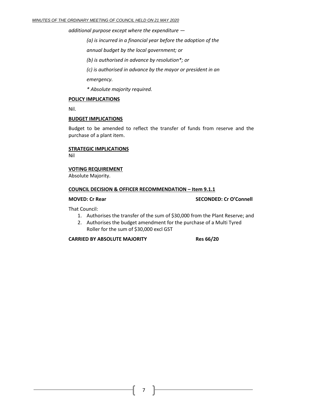*additional purpose except where the expenditure —*

*(a) is incurred in a financial year before the adoption of the*

*annual budget by the local government; or*

*(b) is authorised in advance by resolution\*; or*

*(c) is authorised in advance by the mayor or president in an*

*emergency.*

*\* Absolute majority required.*

#### **POLICY IMPLICATIONS**

Nil.

#### **BUDGET IMPLICATIONS**

Budget to be amended to reflect the transfer of funds from reserve and the purchase of a plant item.

## **STRATEGIC IMPLICATIONS**

Nil

#### **VOTING REQUIREMENT**

Absolute Majority.

#### **COUNCIL DECISION & OFFICER RECOMMENDATION – Item 9.1.1**

#### **MOVED: Cr Rear SECONDED: Cr O'Connell**

That Council:

- 1. Authorises the transfer of the sum of \$30,000 from the Plant Reserve; and
- 2. Authorises the budget amendment for the purchase of a Multi Tyred Roller for the sum of \$30,000 excl GST

#### **CARRIED BY ABSOLUTE MAJORITY Res 66/20**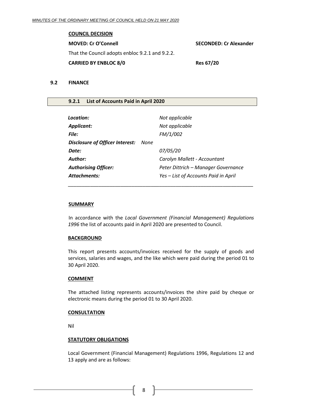#### **COUNCIL DECISION**

| <b>MOVED: Cr O'Connell</b>                      | <b>SECONDED: Cr Alexander</b> |
|-------------------------------------------------|-------------------------------|
| That the Council adopts enbloc 9.2.1 and 9.2.2. |                               |
| <b>CARRIED BY ENBLOC 8/0</b>                    | <b>Res 67/20</b>              |

#### <span id="page-7-0"></span>**9.2 FINANCE**

#### <span id="page-7-1"></span>**9.2.1 List of Accounts Paid in April 2020**

| Location:                       |      | Not applicable                       |
|---------------------------------|------|--------------------------------------|
| <b>Applicant:</b>               |      | Not applicable                       |
| File:                           |      | FM/1/002                             |
| Disclosure of Officer Interest: | None |                                      |
| Date:                           |      | 07/05/20                             |
| <b>Author:</b>                  |      | Carolyn Mallett - Accountant         |
| <b>Authorising Officer:</b>     |      | Peter Dittrich - Manager Governance  |
| <b>Attachments:</b>             |      | Yes - List of Accounts Paid in April |
|                                 |      |                                      |

#### **SUMMARY**

In accordance with the *Local Government (Financial Management) Regulations 1996* the list of accounts paid in April 2020 are presented to Council.

#### **BACKGROUND**

This report presents accounts/invoices received for the supply of goods and services, salaries and wages, and the like which were paid during the period 01 to 30 April 2020.

#### **COMMENT**

The attached listing represents accounts/invoices the shire paid by cheque or electronic means during the period 01 to 30 April 2020.

#### **CONSULTATION**

Nil

#### **STATUTORY OBLIGATIONS**

Local Government (Financial Management) Regulations 1996, Regulations 12 and 13 apply and are as follows:

8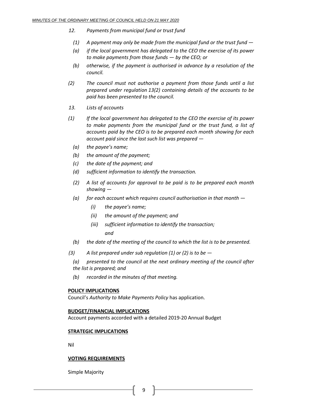- *12. Payments from municipal fund or trust fund*
	- *(1) A payment may only be made from the municipal fund or the trust fund —*
	- *(a) if the local government has delegated to the CEO the exercise of its power to make payments from those funds — by the CEO; or*
	- *(b) otherwise, if the payment is authorised in advance by a resolution of the council.*
- *(2) The council must not authorise a payment from those funds until a list prepared under regulation 13(2) containing details of the accounts to be paid has been presented to the council.*
- *13. Lists of accounts*
- *(1) If the local government has delegated to the CEO the exercise of its power to make payments from the municipal fund or the trust fund, a list of accounts paid by the CEO is to be prepared each month showing for each account paid since the last such list was prepared —*
	- *(a) the payee's name;*
	- *(b) the amount of the payment;*
	- *(c) the date of the payment; and*
	- *(d) sufficient information to identify the transaction.*
	- *(2) A list of accounts for approval to be paid is to be prepared each month showing —*
	- *(a) for each account which requires council authorisation in that month —*
		- *(i) the payee's name;*
		- *(ii) the amount of the payment; and*
		- *(iii) sufficient information to identify the transaction; and*
	- *(b) the date of the meeting of the council to which the list is to be presented.*
- *(3) A list prepared under sub regulation (1) or (2) is to be —*
	- *(a) presented to the council at the next ordinary meeting of the council after the list is prepared; and*
	- *(b) recorded in the minutes of that meeting.*

#### **POLICY IMPLICATIONS**

Council's *Authority to Make Payments Policy* has application.

#### **BUDGET/FINANCIAL IMPLICATIONS**

Account payments accorded with a detailed 2019-20 Annual Budget

#### **STRATEGIC IMPLICATIONS**

Nil

#### **VOTING REQUIREMENTS**

Simple Majority

9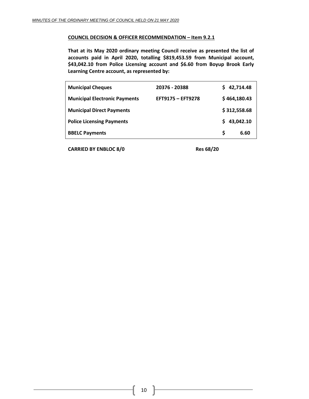#### **COUNCIL DECISION & OFFICER RECOMMENDATION – Item 9.2.1**

**That at its May 2020 ordinary meeting Council receive as presented the list of accounts paid in April 2020, totalling \$819,453.59 from Municipal account, \$43,042.10 from Police Licensing account and \$6.60 from Boyup Brook Early Learning Centre account, as represented by:**

| <b>Municipal Cheques</b>             | 20376 - 20388            | \$42,714.48  |           |
|--------------------------------------|--------------------------|--------------|-----------|
| <b>Municipal Electronic Payments</b> | <b>EFT9175 - EFT9278</b> | \$464,180.43 |           |
| <b>Municipal Direct Payments</b>     |                          | \$312,558.68 |           |
| <b>Police Licensing Payments</b>     |                          | S.           | 43,042.10 |
| <b>BBELC Payments</b>                |                          | S            | 6.60      |

**CARRIED BY ENBLOC 8/0 Res 68/20**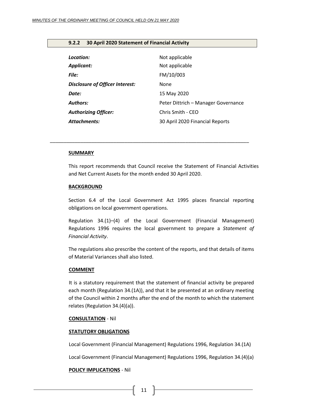#### <span id="page-10-0"></span>**9.2.2 30 April 2020 Statement of Financial Activity**

| Location:                              | Not applicable                      |
|----------------------------------------|-------------------------------------|
| <b>Applicant:</b>                      | Not applicable                      |
| <b>File:</b>                           | FM/10/003                           |
| <b>Disclosure of Officer Interest:</b> | None                                |
| Date:                                  | 15 May 2020                         |
| <b>Authors:</b>                        | Peter Dittrich - Manager Governance |
| <b>Authorizing Officer:</b>            | Chris Smith - CEO                   |
| Attachments:                           | 30 April 2020 Financial Reports     |

*\_\_\_\_\_\_\_\_\_\_\_\_\_\_\_\_\_\_\_\_\_\_\_\_\_\_\_\_\_\_\_\_\_\_\_\_\_\_\_\_\_\_\_\_\_\_\_\_\_\_\_\_\_\_\_\_\_\_\_\_\_\_\_\_\_\_\_\_\_\_\_\_*

#### **SUMMARY**

This report recommends that Council receive the Statement of Financial Activities and Net Current Assets for the month ended 30 April 2020.

#### **BACKGROUND**

Section 6.4 of the Local Government Act 1995 places financial reporting obligations on local government operations.

Regulation 34.(1)–(4) of the Local Government (Financial Management) Regulations 1996 requires the local government to prepare a *Statement of Financial Activity*.

The regulations also prescribe the content of the reports, and that details of items of Material Variances shall also listed.

#### **COMMENT**

It is a statutory requirement that the statement of financial activity be prepared each month (Regulation 34.(1A)), and that it be presented at an ordinary meeting of the Council within 2 months after the end of the month to which the statement relates (Regulation 34.(4)(a)).

#### **CONSULTATION** - Nil

#### **STATUTORY OBLIGATIONS**

Local Government (Financial Management) Regulations 1996, Regulation 34.(1A)

Local Government (Financial Management) Regulations 1996, Regulation 34.(4)(a)

#### **POLICY IMPLICATIONS** - Nil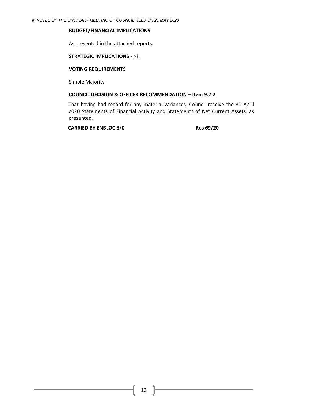#### **BUDGET/FINANCIAL IMPLICATIONS**

As presented in the attached reports.

#### **STRATEGIC IMPLICATIONS** - Nil

#### **VOTING REQUIREMENTS**

Simple Majority

#### **COUNCIL DECISION & OFFICER RECOMMENDATION – Item 9.2.2**

That having had regard for any material variances, Council receive the 30 April 2020 Statements of Financial Activity and Statements of Net Current Assets, as presented.

**CARRIED BY ENBLOC 8/0 Res 69/20**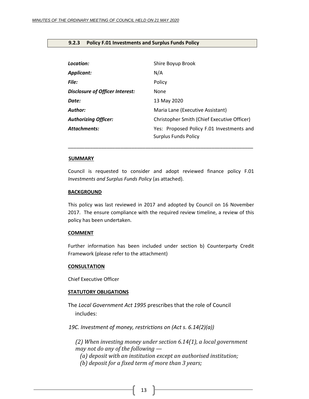#### <span id="page-12-0"></span>**9.2.3 Policy F.01 Investments and Surplus Funds Policy**

| Location:                       | Shire Boyup Brook                                                        |
|---------------------------------|--------------------------------------------------------------------------|
| Applicant:                      | N/A                                                                      |
| File:                           | Policy                                                                   |
| Disclosure of Officer Interest: | None                                                                     |
| Date:                           | 13 May 2020                                                              |
| Author:                         | Maria Lane (Executive Assistant)                                         |
| <b>Authorizing Officer:</b>     | Christopher Smith (Chief Executive Officer)                              |
| <b>Attachments:</b>             | Yes: Proposed Policy F.01 Investments and<br><b>Surplus Funds Policy</b> |

#### **SUMMARY**

Council is requested to consider and adopt reviewed finance policy F.01 *Investments and Surplus Funds Policy* (as attached).

\_\_\_\_\_\_\_\_\_\_\_\_\_\_\_\_\_\_\_\_\_\_\_\_\_\_\_\_\_\_\_\_\_\_\_\_\_\_\_\_\_\_\_\_\_\_\_\_\_\_\_\_\_\_\_\_\_\_\_\_\_\_\_\_\_\_\_

#### **BACKGROUND**

This policy was last reviewed in 2017 and adopted by Council on 16 November 2017. The ensure compliance with the required review timeline, a review of this policy has been undertaken.

#### **COMMENT**

Further information has been included under section b) Counterparty Credit Framework (please refer to the attachment)

#### **CONSULTATION**

Chief Executive Officer

#### **STATUTORY OBLIGATIONS**

The *Local Government Act 1995* prescribes that the role of Council includes:

*19C. Investment of money, restrictions on (Act s. 6.14(2)(a))*

*(2) When investing money under section 6.14(1), a local government may not do any of the following —*

*(a) deposit with an institution except an authorised institution;*

*(b) deposit for a fixed term of more than 3 years;*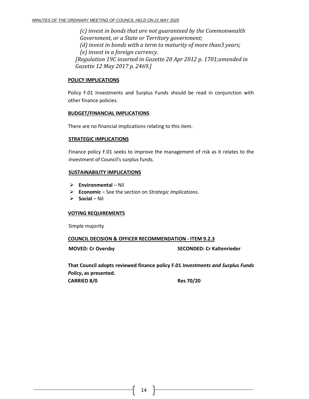*(c) invest in bonds that are not guaranteed by the Commonwealth Government, or a State or Territory government; (d) invest in bonds with a term to maturity of more than3 years; (e) invest in a foreign currency. [Regulation 19C inserted in Gazette 20 Apr 2012 p. 1701;amended in Gazette 12 May 2017 p. 2469.]*

#### **POLICY IMPLICATIONS**

Policy F.01 Investments and Surplus Funds should be read in conjunction with other finance policies.

#### **BUDGET/FINANCIAL IMPLICATIONS**

There are no financial implications relating to this item.

#### **STRATEGIC IMPLICATIONS**

Finance policy F.01 seeks to improve the management of risk as it relates to the investment of Council's surplus funds.

#### **SUSTAINABILITY IMPLICATIONS**

- ➢ **Environmental** Nil
- ➢ **Economic**  See the section on *Strategic Implications*.
- ➢ **Social**  Nil

#### **VOTING REQUIREMENTS**

Simple majority

#### **COUNCIL DECISION & OFFICER RECOMMENDATION - ITEM 9.2.3**

**MOVED: Cr Oversby SECONDED: Cr Kaltenrieder**

**That Council adopts reviewed finance policy F.01** *Investments and Surplus Funds Policy***, as presented. CARRIED 8/0 Res 70/20**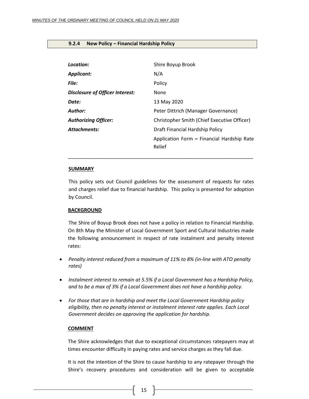#### <span id="page-14-0"></span>**9.2.4 New Policy – Financial Hardship Policy**

| Location:                       | Shire Boyup Brook                                    |
|---------------------------------|------------------------------------------------------|
| <b>Applicant:</b>               | N/A                                                  |
| File:                           | Policy                                               |
| Disclosure of Officer Interest: | None                                                 |
| Date:                           | 13 May 2020                                          |
| Author:                         | Peter Dittrich (Manager Governance)                  |
| <b>Authorizing Officer:</b>     | Christopher Smith (Chief Executive Officer)          |
| <b>Attachments:</b>             | Draft Financial Hardship Policy                      |
|                                 | Application Form - Financial Hardship Rate<br>Relief |

#### **SUMMARY**

This policy sets out Council guidelines for the assessment of requests for rates and charges relief due to financial hardship. This policy is presented for adoption by Council.

\_\_\_\_\_\_\_\_\_\_\_\_\_\_\_\_\_\_\_\_\_\_\_\_\_\_\_\_\_\_\_\_\_\_\_\_\_\_\_\_\_\_\_\_\_\_\_\_\_\_\_\_\_\_\_\_\_\_\_\_\_\_\_\_\_\_\_

#### **BACKGROUND**

The Shire of Boyup Brook does not have a policy in relation to Financial Hardship. On 8th May the Minister of Local Government Sport and Cultural Industries made the following announcement in respect of rate instalment and penalty interest rates:

- *Penalty interest reduced from a maximum of 11% to 8% (in-line with ATO penalty rates)*
- *Instalment interest to remain at 5.5% if a Local Government has a Hardship Policy, and to be a max of 3% if a Local Government does not have a hardship policy.*
- *For those that are in hardship and meet the Local Government Hardship policy eligibility, then no penalty interest or instalment interest rate applies. Each Local Government decides on approving the application for hardship.*

#### **COMMENT**

The Shire acknowledges that due to exceptional circumstances ratepayers may at times encounter difficulty in paying rates and service charges as they fall due.

It is not the intention of the Shire to cause hardship to any ratepayer through the Shire's recovery procedures and consideration will be given to acceptable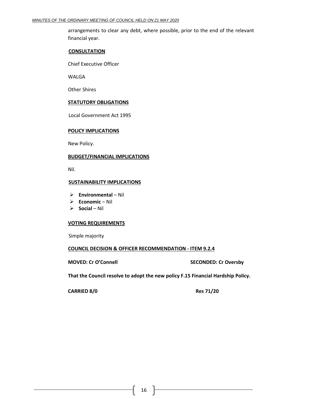arrangements to clear any debt, where possible, prior to the end of the relevant financial year.

#### **CONSULTATION**

Chief Executive Officer

WALGA

Other Shires

#### **STATUTORY OBLIGATIONS**

Local Government Act 1995

#### **POLICY IMPLICATIONS**

New Policy.

#### **BUDGET/FINANCIAL IMPLICATIONS**

Nil.

#### **SUSTAINABILITY IMPLICATIONS**

- ➢ **Environmental**  Nil
- ➢ **Economic**  Nil
- ➢ **Social**  Nil

#### **VOTING REQUIREMENTS**

Simple majority

#### **COUNCIL DECISION & OFFICER RECOMMENDATION - ITEM 9.2.4**

#### **MOVED: Cr O'Connell SECONDED: Cr Oversby**

**That the Council resolve to adopt the new policy F.15 Financial Hardship Policy.**

**CARRIED 8/0 Res 71/20**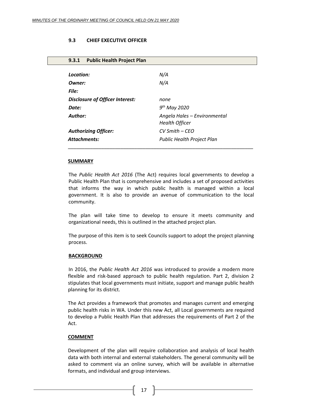#### **9.3 CHIEF EXECUTIVE OFFICER**

#### <span id="page-16-0"></span>**9.3.1 Public Health Project Plan**

| Location:                       | N/A                                                   |
|---------------------------------|-------------------------------------------------------|
| Owner:                          | N/A                                                   |
| <b>File:</b>                    |                                                       |
| Disclosure of Officer Interest: | none                                                  |
| Date:                           | $9th$ May 2020                                        |
| Author:                         | Angela Hales - Environmental<br><b>Health Officer</b> |
| <b>Authorizing Officer:</b>     | $CV$ Smith $-CEO$                                     |
| <b>Attachments:</b>             | Public Health Project Plan                            |
|                                 |                                                       |

#### **SUMMARY**

The *Public Health Act 2016* (The Act) requires local governments to develop a Public Health Plan that is comprehensive and includes a set of proposed activities that informs the way in which public health is managed within a local government. It is also to provide an avenue of communication to the local community.

The plan will take time to develop to ensure it meets community and organizational needs, this is outlined in the attached project plan.

The purpose of this item is to seek Councils support to adopt the project planning process.

#### **BACKGROUND**

In 2016, the *Public Health Act 2016* was introduced to provide a modern more flexible and risk-based approach to public health regulation. Part 2, division 2 stipulates that local governments must initiate, support and manage public health planning for its district.

The Act provides a framework that promotes and manages current and emerging public health risks in WA. Under this new Act, all Local governments are required to develop a Public Health Plan that addresses the requirements of Part 2 of the Act.

#### **COMMENT**

Development of the plan will require collaboration and analysis of local health data with both internal and external stakeholders. The general community will be asked to comment via an online survey, which will be available in alternative formats, and individual and group interviews.

17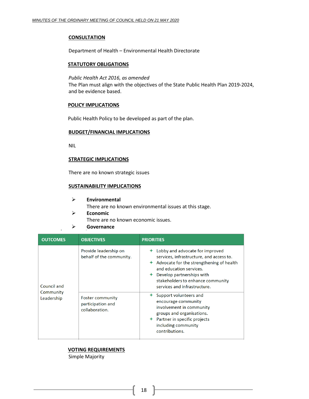#### **CONSULTATION**

Department of Health – Environmental Health Directorate

#### **STATUTORY OBLIGATIONS**

#### *Public Health Act 2016, as amended*

The Plan must align with the objectives of the State Public Health Plan 2019-2024, and be evidence based.

#### **POLICY IMPLICATIONS**

Public Health Policy to be developed as part of the plan.

#### **BUDGET/FINANCIAL IMPLICATIONS**

NIL

#### **STRATEGIC IMPLICATIONS**

There are no known strategic issues

#### **SUSTAINABILITY IMPLICATIONS**

- ➢ **Environmental** There are no known environmental issues at this stage. ➢ **Economic**
- There are no known economic issues.
- ➢ **Governance**

| <b>OUTCOMES</b>          | <b>OBJECTIVES</b>                                              | <b>PRIORITIES</b>                                                                                                                                                                                                                                                            |
|--------------------------|----------------------------------------------------------------|------------------------------------------------------------------------------------------------------------------------------------------------------------------------------------------------------------------------------------------------------------------------------|
| Council and<br>Community | Provide leadership on<br>behalf of the community.              | Lobby and advocate for improved<br>services, infrastructure, and access to.<br>$\triangle$ Advocate for the strengthening of health<br>and education services.<br>$\triangle$ Develop partnerships with<br>stakeholders to enhance community<br>services and infrastructure. |
| Leadership               | <b>Foster community</b><br>participation and<br>collaboration. | Support volunteers and<br>encourage community<br>involvement in community<br>groups and organisations.<br>$\div$ Partner in specific projects<br>including community<br>contributions.                                                                                       |

## **VOTING REQUIREMENTS**

Simple Majority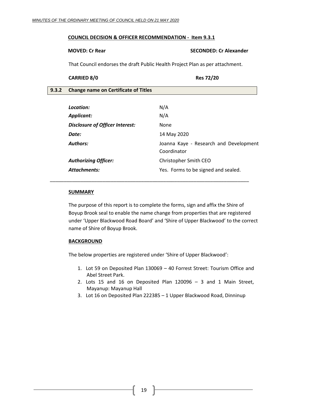#### **COUNCIL DECISION & OFFICER RECOMMENDATION - Item 9.3.1**

#### **MOVED: Cr Rear SECONDED: Cr Alexander**

That Council endorses the draft Public Health Project Plan as per attachment.

#### **CARRIED 8/0 Res 72/20**

<span id="page-18-0"></span>

| 9.3.2 | <b>Change name on Certificate of Titles</b> |                                        |
|-------|---------------------------------------------|----------------------------------------|
|       |                                             |                                        |
|       | Location:                                   | N/A                                    |
|       | <b>Applicant:</b>                           | N/A                                    |
|       | <b>Disclosure of Officer Interest:</b>      | None                                   |
|       | Date:                                       | 14 May 2020                            |
|       | <b>Authors:</b>                             | Joanna Kaye - Research and Development |

Attachments: **Attachments:** Yes. Forms to be signed and sealed.

*\_\_\_\_\_\_\_\_\_\_\_\_\_\_\_\_\_\_\_\_\_\_\_\_\_\_\_\_\_\_\_\_\_\_\_\_\_\_\_\_\_\_\_\_\_\_\_\_\_\_\_\_\_\_\_\_\_\_\_\_\_\_\_\_\_\_\_\_\_\_\_\_*

*Authorizing Officer:* Christopher Smith CEO

#### **SUMMARY**

The purpose of this report is to complete the forms, sign and affix the Shire of Boyup Brook seal to enable the name change from properties that are registered under 'Upper Blackwood Road Board' and 'Shire of Upper Blackwood' to the correct name of Shire of Boyup Brook.

Coordinator

#### **BACKGROUND**

The below properties are registered under 'Shire of Upper Blackwood':

- 1. Lot 59 on Deposited Plan 130069 40 Forrest Street: Tourism Office and Abel Street Park.
- 2. Lots 15 and 16 on Deposited Plan 120096 3 and 1 Main Street, Mayanup: Mayanup Hall
- 3. Lot 16 on Deposited Plan 222385 1 Upper Blackwood Road, Dinninup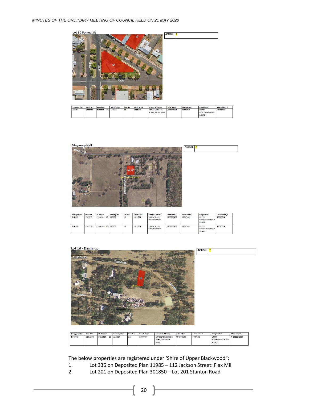

| Polygon No | Land Id | Pi Parcel |    | Survey No | Lot No. | Land Area | <b>Street Address</b>                  | Title Iden | Formatted | Proprietor                                     | Document |
|------------|---------|-----------|----|-----------|---------|-----------|----------------------------------------|------------|-----------|------------------------------------------------|----------|
| 505889     | 1853920 | P130069   | 59 | 130069    | 59      | 1353.973  | 40 Forrest Street.<br>BOYUP BROOK 6244 | 1035000618 | 1035/618  | UPPER<br><b>BLACKWOOD ROAD</b><br><b>BOARD</b> | A000001A |

| <b>Mayanup Hall</b><br>$\label{eq:2} D_{\rm UCS, Qg}$<br>ö |        | <b>ACTION</b><br>B |
|------------------------------------------------------------|--------|--------------------|
|                                                            |        |                    |
|                                                            | 561 50 |                    |
|                                                            |        |                    |
|                                                            |        |                    |
|                                                            |        |                    |

| Polygon No | Land Id | Pi Parcel     | Survey No | Lot No | <b>Land Area</b> | <b>Street Address</b>          | Title Iden | Formatted | Proprietor                                     | Document i |
|------------|---------|---------------|-----------|--------|------------------|--------------------------------|------------|-----------|------------------------------------------------|------------|
| 514199     | 1943937 | P120096<br>15 | 120096    | 15     | 1011.724         | 3 Main Street.<br>MAYANUP 6244 | 1229000386 | 1229/386  | UPPER<br><b>BLACKWOOD ROAD</b><br><b>BOARD</b> | A000001A   |
| 514195     | 1943958 | P120096<br>16 | 120096    | 16     | 1011.724         | 1 Main Street.<br>MAYANUP 6244 | 1229000386 | 1229/386  | UPPER<br><b>BLACKWOOD ROAD</b><br><b>BOARD</b> | A000001A   |

#### Lot 16 - Dinninup



| Polygon No | Land Id | Pi Parcel |    | Survey No. | Lot No. | <b>Land Area</b> | <b>Street Address</b>                       | <b>Title Iden</b> | Formatted | Proprietor                                     | Document i   |
|------------|---------|-----------|----|------------|---------|------------------|---------------------------------------------|-------------------|-----------|------------------------------------------------|--------------|
| 514996     | 1882500 | P222385   | 16 | 222385     | 16      | 1009.477         | 1 Upper Blackwood<br>Road, DINNINUP<br>6244 | 794000106         | 794/106   | UPPER<br><b>BLACKWOOD ROAD</b><br><b>BOARD</b> | T 18212/1960 |

The below properties are registered under 'Shire of Upper Blackwood":

- 1. Lot 336 on Deposited Plan 11985 112 Jackson Street: Flax Mill
- 2. Lot 201 on Deposited Plan 301850 Lot 201 Stanton Road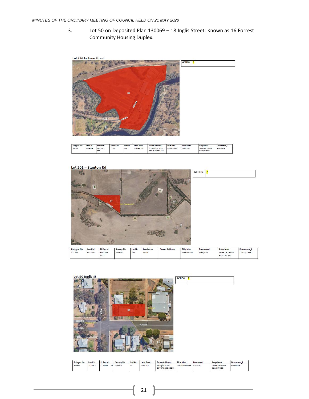3. Lot 50 on Deposited Plan 130069 – 18 Inglis Street: Known as 16 Forrest Community Housing Duplex.



| Polygon No | Land Id | Pi Parcel      | Survey No. | Lot No. | Land Area  | <b>Street Address</b>                  | <b>Title Iden</b> | Formatted | Proprietor                         | Document |
|------------|---------|----------------|------------|---------|------------|----------------------------------------|-------------------|-----------|------------------------------------|----------|
| 506724     | 1854114 | D011985<br>336 | 11985      | 336     | 159849.518 | 112 Jackson Street<br>BOYUP BROOK 6244 | 1337000838        | 1337/838  | SHIRE OF UPPER<br><b>BLACKWOOD</b> | A000001A |

Lot 201 - Stanton Rd



| Polygon No | Land Id | Pi Parcel      | Survey No | Lot No | Land Area | <b>Street Address</b> | Title Iden | Formatted | Proprietor                         | Document    |
|------------|---------|----------------|-----------|--------|-----------|-----------------------|------------|-----------|------------------------------------|-------------|
| 521244     | 3413620 | P301850<br>201 | 301850    | 201    | 44819     |                       | 1268000330 | 1268/330  | SHIRE OF UPPER<br><b>BLACKWOOD</b> | 7 2025/1963 |



| Polygon No | Land Id | Pi Parcel |     | Survey No | Lot No. | <b>Land Area</b> | Street Address                       | <b>Title Iden</b>     | Formatted | Proprietor                         | Document |
|------------|---------|-----------|-----|-----------|---------|------------------|--------------------------------------|-----------------------|-----------|------------------------------------|----------|
| 505960     | 1853911 | P130069   | 501 | 130069    | 50      | 1062318          | 18 Inglis Street<br>BOYUP BROOK 6244 | 000239000033A 239/33A |           | SHIRE OF UPPER<br><b>BLACKWOOD</b> | A000001A |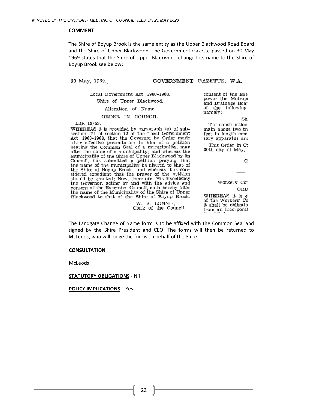#### **COMMENT**

The Shire of Boyup Brook is the same entity as the Upper Blackwood Road Board and the Shire of Upper Blackwood. The Government Gazette passed on 30 May 1969 states that the Shire of Upper Blackwood changed its name to the Shire of Boyup Brook see below:

30 May, 1969.]

GOVERNMENT GAZETTE, W.A.

Local Government Act, 1960-1968. Shire of Upper Blackwood. Alteration of Name.

ORDER IN COUNCIL.

 $L.G. 18/53.$ 

WHEREAS it is provided by paragraph (e) of subsection (2) of section 12 of the Local Government Act, 1960-1968, that the Governor by Order made after effective presentation to him of a petition bearing the Common Seal of a municipality, may alter the name of a municipality; and whereas the<br>Municipality of the Shire of Upper Blackwood by its Council, has submitted a petition praying that the name of the municipality be altered to that of the Shire of Boyup Brook; and whereas it is considered expedient that the prayer of the petition should be granted: Now, therefore, His Excellency<br>the Governor, acting by and with the advice and<br>consent of the Executive Council, doth hereby alter the name of the Municipality of the Shire of Upper Blackwood to that of the Shire of Boyup Brook.

> W. S. LONNIE. Clerk of the Council.

consent of the Exe power the Metropo and Drainage Boar of the following namely:-

Sh The construction main about two th feet in length com sary apparatus and

This Order in Co 30th day of May,

 $\mathbf{C}^{\prime}$ 

Workers' Con ORD

WHEREAS it is el of the Workers' Co it shall be obligato from an incorporat

The Landgate Change of Name form is to be affixed with the Common Seal and signed by the Shire President and CEO. The forms will then be returned to McLeods, who will lodge the forms on behalf of the Shire.

#### **CONSULTATION**

McLeods

#### **STATUTORY OBLIGATIONS** - Nil

**POLICY IMPLICATIONS** – Yes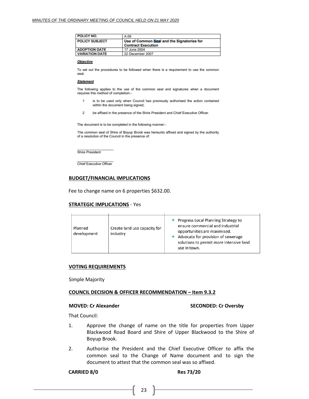| <b>POLICY NO.</b>     | A.09                                                                    |
|-----------------------|-------------------------------------------------------------------------|
| <b>POLICY SUBJECT</b> | Use of Common Seal and the Signatories for<br><b>Contract Execution</b> |
| <b>ADOPTION DATE</b>  | 17 June 2004                                                            |
| <b>VARIATION DATE</b> | 22 December 2007                                                        |

#### **Objective**

To set out the procedures to be followed when there is a requirement to use the common seal.

#### **Statement**

The following applies to the use of the common seal and signatures when a document requires this method of completion:-

- is to be used only when Council has previously authorised the action contained 1 within the document being signed;
- $\overline{2}$ be affixed in the presence of the Shire President and Chief Executive Officer.

The document is to be completed in the following manner:-

The common seal of Shire of Boyup Brook was hereunto affixed and signed by the authority of a resolution of the Council in the presence of:

**Shire President** 

**Chief Executive Officer** 

#### **BUDGET/FINANCIAL IMPLICATIONS**

Fee to change name on 6 properties \$632.00.

#### **STRATEGIC IMPLICATIONS** - Yes

| <b>Progress Local Planning Strategy to</b><br>ensure commercial and industrial<br>Create land use capacity for<br>Planned<br>opportunities are maximised.<br>development<br>industry<br>Advocate for provision of sewerage<br>solutions to permit more intensive land<br>use in town. |
|---------------------------------------------------------------------------------------------------------------------------------------------------------------------------------------------------------------------------------------------------------------------------------------|
|---------------------------------------------------------------------------------------------------------------------------------------------------------------------------------------------------------------------------------------------------------------------------------------|

#### **VOTING REQUIREMENTS**

Simple Majority

#### **COUNCIL DECISION & OFFICER RECOMMENDATION – Item 9.3.2**

#### **MOVED: Cr Alexander SECONDED: Cr Oversby**

That Council:

- 1. Approve the change of name on the title for properties from Upper Blackwood Road Board and Shire of Upper Blackwood to the Shire of Boyup Brook.
- 2. Authorise the President and the Chief Executive Officer to affix the common seal to the Change of Name document and to sign the document to attest that the common seal was so affixed.

#### **CARRIED 8/0 Res 73/20**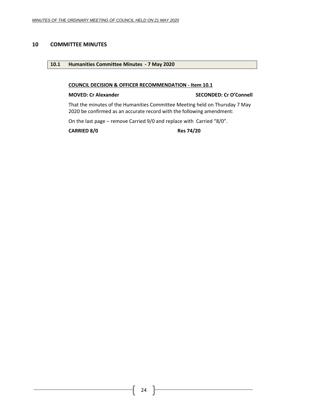## <span id="page-23-1"></span><span id="page-23-0"></span>**10 COMMITTEE MINUTES**

#### **10.1 Humanities Committee Minutes - 7 May 2020**

#### **COUNCIL DECISION & OFFICER RECOMMENDATION - Item 10.1**

#### **MOVED: Cr Alexander SECONDED: Cr O'Connell**

That the minutes of the Humanities Committee Meeting held on Thursday 7 May 2020 be confirmed as an accurate record with the following amendment:

On the last page – remove Carried 9/0 and replace with Carried "8/0".

**CARRIED 8/0 Res 74/20**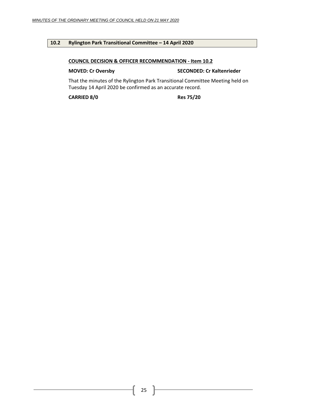#### <span id="page-24-0"></span>**10.2 Rylington Park Transitional Committee – 14 April 2020**

#### **COUNCIL DECISION & OFFICER RECOMMENDATION - Item 10.2**

#### **MOVED: Cr Oversby SECONDED: Cr Kaltenrieder**

That the minutes of the Rylington Park Transitional Committee Meeting held on Tuesday 14 April 2020 be confirmed as an accurate record.

**CARRIED 8/0 Res 75/20**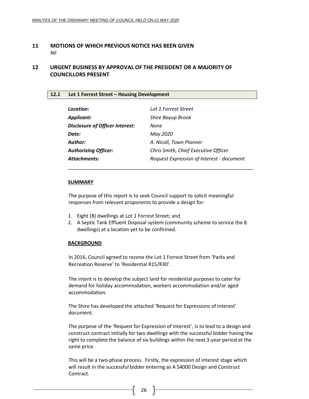#### <span id="page-25-0"></span>**11 MOTIONS OF WHICH PREVIOUS NOTICE HAS BEEN GIVEN** Nil

## <span id="page-25-1"></span>**12 URGENT BUSINESS BY APPROVAL OF THE PRESIDENT OR A MAJORITY OF COUNCILLORS PRESENT**

#### <span id="page-25-2"></span>**12.1 Lot 1 Forrest Street – Housing Development**

| Location:                       | Lot 1 Forrest Street                      |
|---------------------------------|-------------------------------------------|
| <b>Applicant:</b>               | Shire Boyup Brook                         |
| Disclosure of Officer Interest: | None                                      |
| Date:                           | May 2020                                  |
| Author:                         | A. Nicoll, Town Planner                   |
| <b>Authorizing Officer:</b>     | Chris Smith, Chief Executive Officer      |
| <b>Attachments:</b>             | Request Expression of Interest - document |

\_\_\_\_\_\_\_\_\_\_\_\_\_\_\_\_\_\_\_\_\_\_\_\_\_\_\_\_\_\_\_\_\_\_\_\_\_\_\_\_\_\_\_\_\_\_\_\_\_\_\_\_\_\_\_\_\_\_\_\_\_\_\_\_\_\_\_

#### **SUMMARY**

The purpose of this report is to seek Council support to solicit meaningful responses from relevant proponents to provide a design for:

- 1. Eight (8) dwellings at Lot 1 Forrest Street; and
- 2. A Septic Tank Effluent Disposal system (community scheme to service the 8 dwellings) at a location yet to be confirmed.

#### **BACKGROUND**

In 2016, Council agreed to rezone the Lot 1 Forrest Street from 'Parks and Recreation Reserve' to 'Residential R15/R30'.

The intent is to develop the subject land for residential purposes to cater for demand for holiday accommodation, workers accommodation and/or aged accommodation.

The Shire has developed the attached 'Request for Expressions of Interest' document.

The purpose of the 'Request for Expression of Interest', is to lead to a design and construct contract initially for two dwellings with the successful bidder having the right to complete the balance of six buildings within the next 3-year period at the same price.

This will be a two-phase process. Firstly, the expression of interest stage which will result in the successful bidder entering as A S4000 Design and Construct Contract.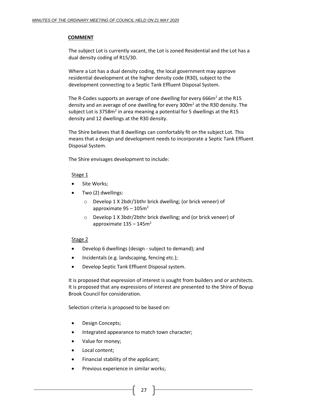## **COMMENT**

The subject Lot is currently vacant, the Lot is zoned Residential and the Lot has a dual density coding of R15/30.

Where a Lot has a dual density coding, the local government may approve residential development at the higher density code (R30), subject to the development connecting to a Septic Tank Effluent Disposal System.

The R-Codes supports an average of one dwelling for every 666 $m<sup>2</sup>$  at the R15 density and an average of one dwelling for every 300m<sup>2</sup> at the R30 density. The subject Lot is 3758m<sup>2</sup> in area meaning a potential for 5 dwellings at the R15 density and 12 dwellings at the R30 density.

The Shire believes that 8 dwellings can comfortably fit on the subject Lot. This means that a design and development needs to incorporate a Septic Tank Effluent Disposal System.

The Shire envisages development to include:

## Stage 1

- Site Works:
- Two (2) dwellings:
	- o Develop 1 X 2bdr/1bthr brick dwelling; (or brick veneer) of approximate  $95 - 105$ m<sup>2</sup>
	- o Develop 1 X 3bdr/2bthr brick dwelling; and (or brick veneer) of approximate  $135 - 145$ m<sup>2</sup>

#### Stage 2

- Develop 6 dwellings (design subject to demand); and
- Incidentals (e.g. landscaping, fencing etc.);
- Develop Septic Tank Effluent Disposal system.

It is proposed that expression of interest is sought from builders and or architects. It is proposed that any expressions of interest are presented to the Shire of Boyup Brook Council for consideration.

Selection criteria is proposed to be based on:

- Design Concepts;
- Integrated appearance to match town character;
- Value for money;
- Local content;
- Financial stability of the applicant;
- Previous experience in similar works;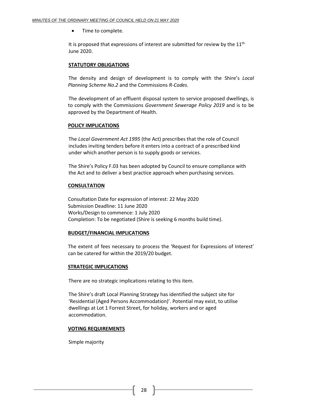• Time to complete.

It is proposed that expressions of interest are submitted for review by the  $11<sup>th</sup>$ June 2020.

#### **STATUTORY OBLIGATIONS**

The density and design of development is to comply with the Shire's *Local Planning Scheme No.2* and the Commissions *R-Codes*.

The development of an effluent disposal system to service proposed dwellings, is to comply with the Commissions *Government Sewerage Policy 2019* and is to be approved by the Department of Health.

#### **POLICY IMPLICATIONS**

The *Local Government Act 1995* (the Act) prescribes that the role of Council includes inviting tenders before it enters into a contract of a prescribed kind under which another person is to supply goods or services.

The Shire's Policy F.03 has been adopted by Council to ensure compliance with the Act and to deliver a best practice approach when purchasing services.

#### **CONSULTATION**

Consultation Date for expression of interest: 22 May 2020 Submission Deadline: 11 June 2020 Works/Design to commence: 1 July 2020 Completion: To be negotiated (Shire is seeking 6 months build time).

#### **BUDGET/FINANCIAL IMPLICATIONS**

The extent of fees necessary to process the 'Request for Expressions of Interest' can be catered for within the 2019/20 budget.

#### **STRATEGIC IMPLICATIONS**

There are no strategic implications relating to this item.

The Shire's draft Local Planning Strategy has identified the subject site for 'Residential (Aged Persons Accommodation)'. Potential may exist, to utilise dwellings at Lot 1 Forrest Street, for holiday, workers and or aged accommodation.

#### **VOTING REQUIREMENTS**

Simple majority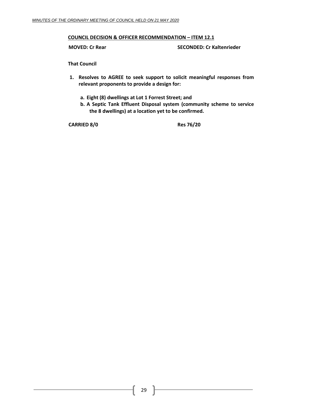#### **COUNCIL DECISION & OFFICER RECOMMENDATION – ITEM 12.1**

**MOVED: Cr Rear SECONDED: Cr Kaltenrieder**

**That Council**

- **1. Resolves to AGREE to seek support to solicit meaningful responses from relevant proponents to provide a design for:**
	- **a. Eight (8) dwellings at Lot 1 Forrest Street; and**
	- **b. A Septic Tank Effluent Disposal system (community scheme to service the 8 dwellings) at a location yet to be confirmed.**

**CARRIED 8/0 Res 76/20**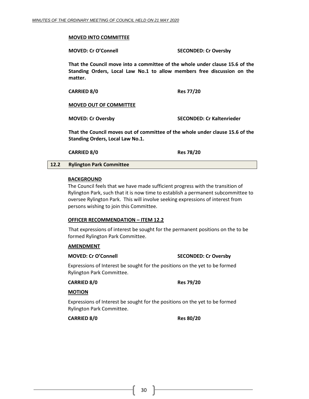#### **MOVED INTO COMMITTEE**

**MOVED: Cr O'Connell SECONDED: Cr Oversby**

**That the Council move into a committee of the whole under clause 15.6 of the Standing Orders, Local Law No.1 to allow members free discussion on the matter.**

| <b>CARRIED 8/0</b> | <b>Res 77/20</b> |
|--------------------|------------------|
|--------------------|------------------|

#### **MOVED OUT OF COMMITTEE**

**MOVED: Cr Oversby SECONDED: Cr Kaltenrieder**

**That the Council moves out of committee of the whole under clause 15.6 of the Standing Orders, Local Law No.1.**

**CARRIED 8/0 Res 78/20**

#### <span id="page-29-0"></span>**12.2 Rylington Park Committee**

#### **BACKGROUND**

The Council feels that we have made sufficient progress with the transition of Rylington Park, such that it is now time to establish a permanent subcommittee to oversee Rylington Park. This will involve seeking expressions of interest from persons wishing to join this Committee.

#### **OFFICER RECOMMENDATION – ITEM 12.2**

That expressions of interest be sought for the permanent positions on the to be formed Rylington Park Committee.

#### **AMENDMENT**

#### **MOVED: Cr O'Connell SECONDED: Cr Oversby**

Expressions of Interest be sought for the positions on the yet to be formed Rylington Park Committee.

**CARRIED 8/0 Res 79/20**

#### **MOTION**

Expressions of Interest be sought for the positions on the yet to be formed Rylington Park Committee.

**CARRIED 8/0 Res 80/20**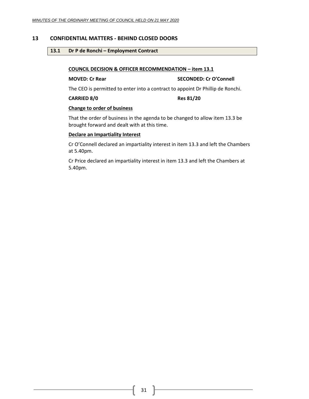#### <span id="page-30-1"></span><span id="page-30-0"></span>**13 CONFIDENTIAL MATTERS - BEHIND CLOSED DOORS**

#### **13.1 Dr P de Ronchi – Employment Contract**

#### **COUNCIL DECISION & OFFICER RECOMMENDATION – item 13.1**

#### **MOVED: Cr Rear SECONDED: Cr O'Connell**

The CEO is permitted to enter into a contract to appoint Dr Phillip de Ronchi.

#### **CARRIED 8/0 Res 81/20**

#### **Change to order of business**

That the order of business in the agenda to be changed to allow item 13.3 be brought forward and dealt with at this time.

#### **Declare an Impartiality Interest**

Cr O'Connell declared an impartiality interest in item 13.3 and left the Chambers at 5.40pm.

Cr Price declared an impartiality interest in item 13.3 and left the Chambers at 5.40pm.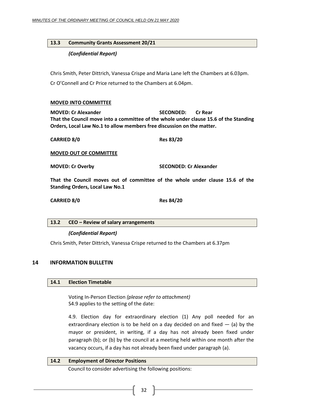## <span id="page-31-0"></span>**13.3 Community Grants Assessment 20/21**

## *(Confidential Report)*

Chris Smith, Peter Dittrich, Vanessa Crispe and Maria Lane left the Chambers at 6.03pm. Cr O'Connell and Cr Price returned to the Chambers at 6.04pm.

#### **MOVED INTO COMMITTEE**

**MOVED: Cr Alexander SECONDED: Cr Rear That the Council move into a committee of the whole under clause 15.6 of the Standing Orders, Local Law No.1 to allow members free discussion on the matter.**

**CARRIED 8/0 Res 83/20**

**MOVED OUT OF COMMITTEE**

**MOVED: Cr Overby SECONDED: Cr Alexander**

**That the Council moves out of committee of the whole under clause 15.6 of the Standing Orders, Local Law No.1**

**CARRIED 8/0 Res 84/20**

<span id="page-31-1"></span>

|  |  | 13.2 CEO – Review of salary arrangements |
|--|--|------------------------------------------|
|--|--|------------------------------------------|

#### *(Confidential Report)*

Chris Smith, Peter Dittrich, Vanessa Crispe returned to the Chambers at 6.37pm

#### <span id="page-31-3"></span><span id="page-31-2"></span>**14 INFORMATION BULLETIN**

## **14.1 Election Timetable**

Voting In-Person Election *(please refer to attachment)* S4.9 applies to the setting of the date:

4.9. Election day for extraordinary election (1) Any poll needed for an extraordinary election is to be held on a day decided on and fixed  $-$  (a) by the mayor or president, in writing, if a day has not already been fixed under paragraph (b); or (b) by the council at a meeting held within one month after the vacancy occurs, if a day has not already been fixed under paragraph (a).

#### <span id="page-31-4"></span>**14.2 Employment of Director Positions**

Council to consider advertising the following positions: